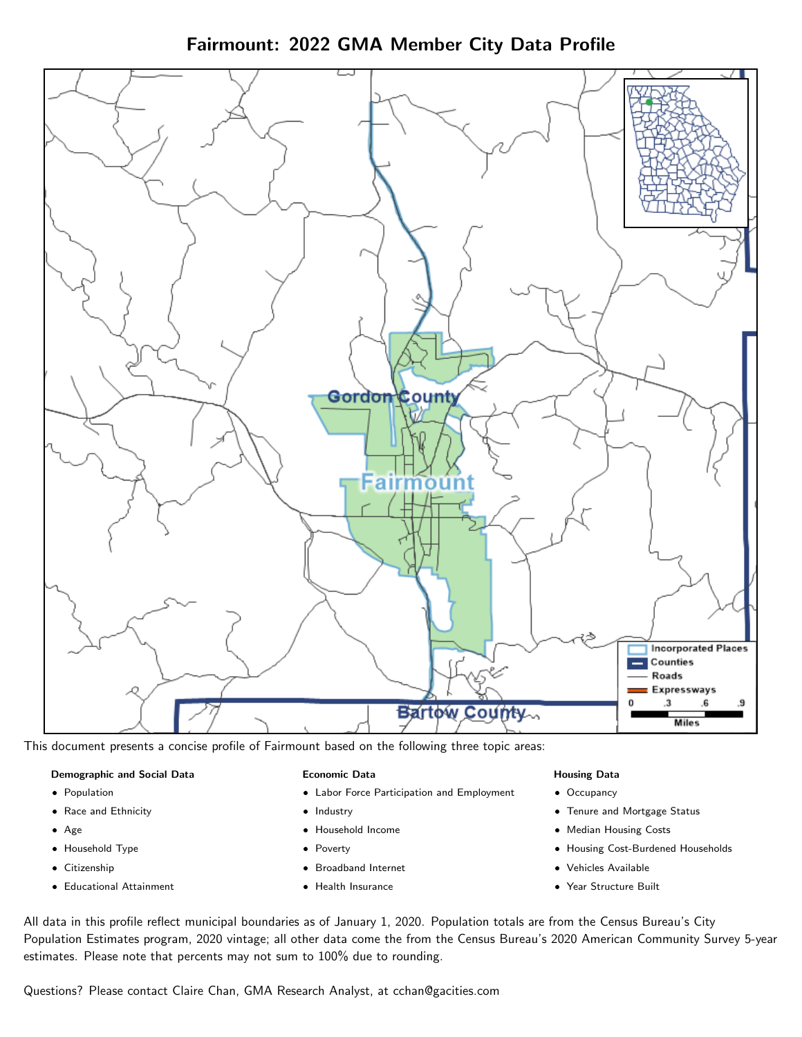Fairmount: 2022 GMA Member City Data Profile



This document presents a concise profile of Fairmount based on the following three topic areas:

#### Demographic and Social Data

- **•** Population
- Race and Ethnicity
- Age
- Household Type
- **Citizenship**
- Educational Attainment

#### Economic Data

- Labor Force Participation and Employment
- Industry
- Household Income
- Poverty
- Broadband Internet
- Health Insurance

## Housing Data

- Occupancy
- Tenure and Mortgage Status
- Median Housing Costs
- Housing Cost-Burdened Households
- Vehicles Available
- Year Structure Built

All data in this profile reflect municipal boundaries as of January 1, 2020. Population totals are from the Census Bureau's City Population Estimates program, 2020 vintage; all other data come the from the Census Bureau's 2020 American Community Survey 5-year estimates. Please note that percents may not sum to 100% due to rounding.

Questions? Please contact Claire Chan, GMA Research Analyst, at [cchan@gacities.com.](mailto:cchan@gacities.com)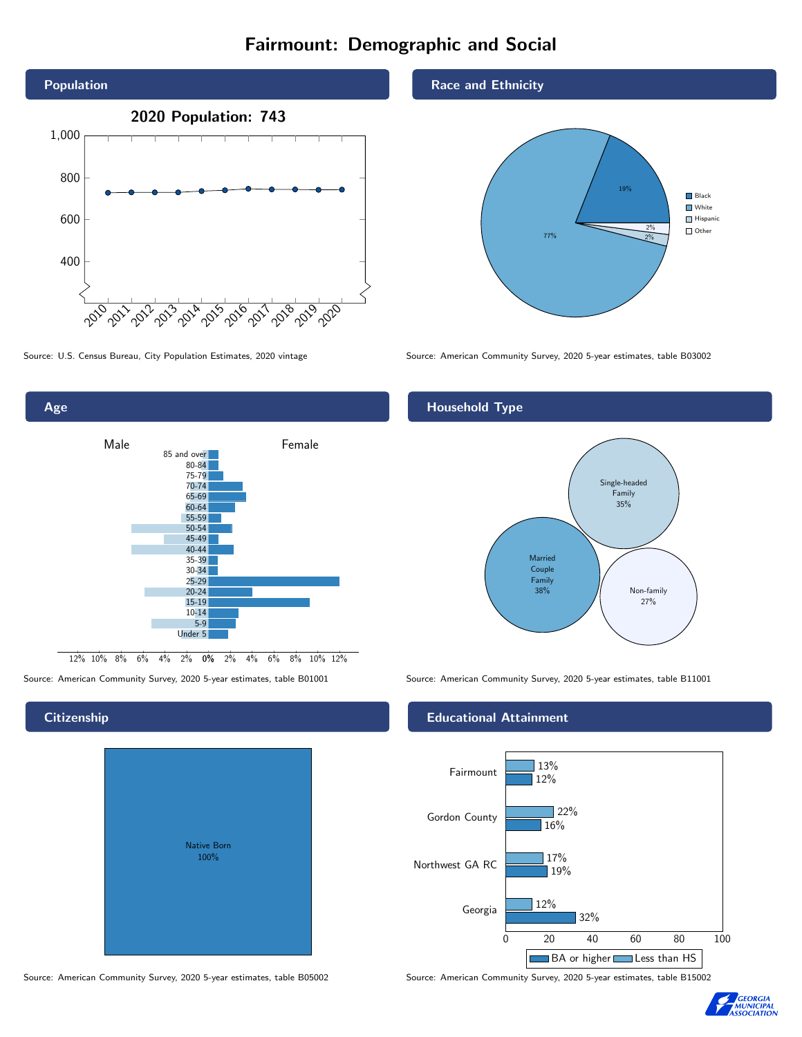# Fairmount: Demographic and Social





## **Citizenship**

| Native Born<br>100% |  |
|---------------------|--|
|                     |  |

Race and Ethnicity



Source: U.S. Census Bureau, City Population Estimates, 2020 vintage Source: American Community Survey, 2020 5-year estimates, table B03002

# Household Type



Source: American Community Survey, 2020 5-year estimates, table B01001 Source: American Community Survey, 2020 5-year estimates, table B11001

## Educational Attainment



Source: American Community Survey, 2020 5-year estimates, table B05002 Source: American Community Survey, 2020 5-year estimates, table B15002

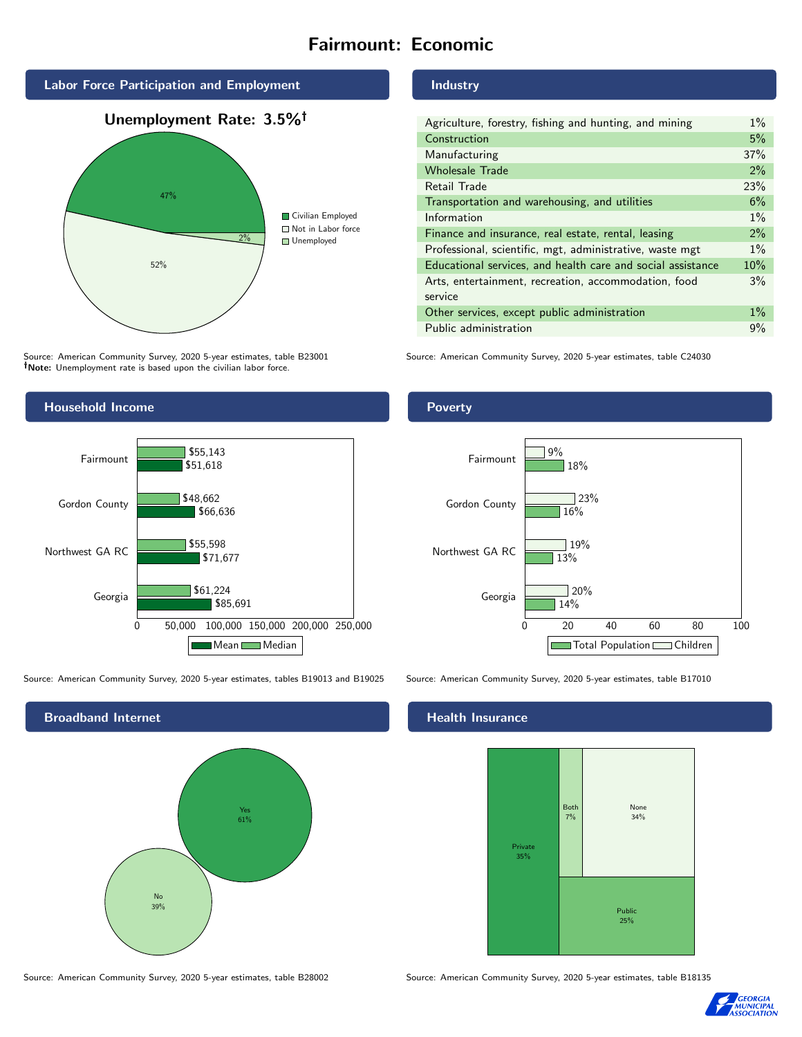# Fairmount: Economic



Source: American Community Survey, 2020 5-year estimates, table B23001 Note: Unemployment rate is based upon the civilian labor force.

## Industry

| Agriculture, forestry, fishing and hunting, and mining      |       |
|-------------------------------------------------------------|-------|
| Construction                                                | 5%    |
| Manufacturing                                               | 37%   |
| <b>Wholesale Trade</b>                                      | 2%    |
| Retail Trade                                                | 23%   |
| Transportation and warehousing, and utilities               | 6%    |
| Information                                                 | $1\%$ |
| Finance and insurance, real estate, rental, leasing         | 2%    |
| Professional, scientific, mgt, administrative, waste mgt    | $1\%$ |
| Educational services, and health care and social assistance | 10%   |
| Arts, entertainment, recreation, accommodation, food        | 3%    |
| service                                                     |       |
| Other services, except public administration                | $1\%$ |
| Public administration                                       | 9%    |

Source: American Community Survey, 2020 5-year estimates, table C24030



Source: American Community Survey, 2020 5-year estimates, tables B19013 and B19025 Source: American Community Survey, 2020 5-year estimates, table B17010



Source: American Community Survey, 2020 5-year estimates, table B28002 Source: American Community Survey, 2020 5-year estimates, table B18135

Poverty



# **Health Insurance**